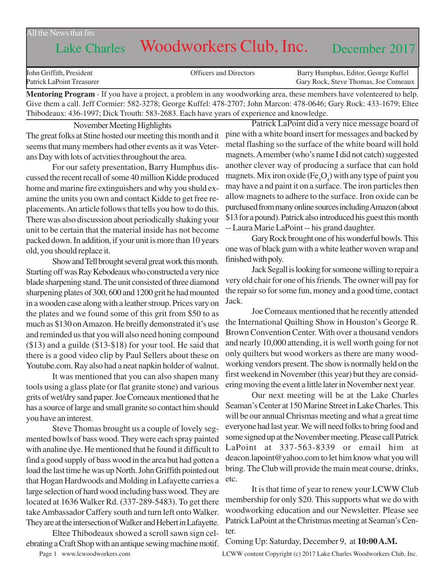#### All the News that fits

# Lake Charles Woodworkers Club, Inc. December 2017

| John Griffith, President  | <b>Officers and Directors</b> | Barry Humphus, Editor, George Kuffel |
|---------------------------|-------------------------------|--------------------------------------|
| Patrick LaPoint Treasurer |                               | Gary Rock, Steve Thomas, Joe Comeaux |

**Mentoring Program** - If you have a project, a problem in any woodworking area, these members have volenteered to help. Give them a call. Jeff Cormier: 582-3278; George Kuffel: 478-2707; John Marcon: 478-0646; Gary Rock: 433-1679; Eltee Thibodeaux: 436-1997; Dick Trouth: 583-2683. Each have years of experience and knowledge.

November Meeting Highlights The great folks at Stine hosted our meeting this month and it seems that many members had other events as it was Veterans Day with lots of actvities throughout the area.

For our safety presentation, Barry Humphus discussed the recent recall of some 40 million Kidde produced home and marine fire extinguishers and why you shuld examine the units you own and contact Kidde to get free replacements. An article follows that tells you how to do this. There was also discussion about periodically shaking your unit to be certain that the material inside has not become packed down. In addition, if your unit is more than 10 years old, you should replace it.

Show and Tell brought several great work this month. Starting off was Ray Kebodeaux who constructed a very nice blade sharpening stand. The unit consisted of three diamond sharpening plates of 300, 600 and 1200 grit he had mounted in a wooden case along with a leather stroup. Prices vary on the plates and we found some of this grit from \$50 to as much as \$130 on Amazon. He breifly demonstrated it's use and reminded us that you will also need honing compound (\$13) and a guilde (\$13-\$18) for your tool. He said that there is a good video clip by Paul Sellers about these on Youtube.com. Ray also had a neat napkin holder of walnut.

It was mentioned that you can also shapen many tools using a glass plate (or flat granite stone) and various grits of wet/dry sand paper. Joe Comeaux mentioned that he has a source of large and small granite so contact him should you have an interest.

Steve Thomas brought us a couple of lovely segmented bowls of bass wood. They were each spray painted with analine dye. He mentioned that he found it difficult to find a good supply of bass wood in the area but had gotten a load the last time he was up North. John Griffith pointed out that Hogan Hardwoods and Molding in Lafayette carries a large selection of hard wood including bass wood. They are located at 1636 Walker Rd. (337-289-5483). To get there take Ambassador Caffery south and turn left onto Walker. They are at the intersection of Walker and Hebert in Lafayette.

Eltee Thibodeaux showed a scroll sawn sign celebrating a Craft Shop with an antique sewing machine motif.

Patrick LaPoint did a very nice message board of pine with a white board insert for messages and backed by metal flashing so the surface of the white board will hold magnets. A member (who's name I did not catch) suggested another clever way of producing a surface that can hold magnets. Mix iron oxide  $(Fe<sub>3</sub>O<sub>4</sub>)$  with any type of paint you may have a nd paint it on a surface. The iron particles then allow magnets to adhere to the surface. Iron oxide can be purchased from many online sources including Amazon (about \$13 for a pound). Patrick also introduced his guest this month -- Laura Marie LaPoint -- his grand daughter.

Gary Rock brought one of his wonderful bowls. This one was of black gum with a white leather woven wrap and finished with poly.

Jack Segall is looking for someone willing to repair a very old chair for one of his friends. The owner will pay for the repair so for some fun, money and a good time, contact Jack.

Joe Comeaux mentioned that he recently attended the International Quilting Show in Houston's George R. Brown Convention Center. With over a thousand vendors and nearly 10,000 attending, it is well worth going for not only quilters but wood workers as there are many woodworking vendors present. The show is normally held on the first weekend in November (this year) but they are considering moving the event a little later in November next year.

Our next meeting will be at the Lake Charles Seaman's Center at 150 Marine Street in Lake Charles. This will be our annual Chrismas meeting and what a great time everyone had last year. We will need folks to bring food and some signed up at the November meeting. Please call Patrick LaPoint at 337-563-8339 or email him at deacon.lapoint@yahoo.com to let him know what you will bring. The Club will provide the main meat course, drinks, etc.

It is that time of year to renew your LCWW Club membership for only \$20. This supports what we do with woodworking education and our Newsletter. Please see Patrick LaPoint at the Christmas meeting at Seaman's Center.

Coming Up: Saturday, December 9, at **10:00 A.M.**

Page 1 www.lcwoodworkers.com LCWW content Copyright (c) 2017 Lake Charles Woodworkers Club, Inc.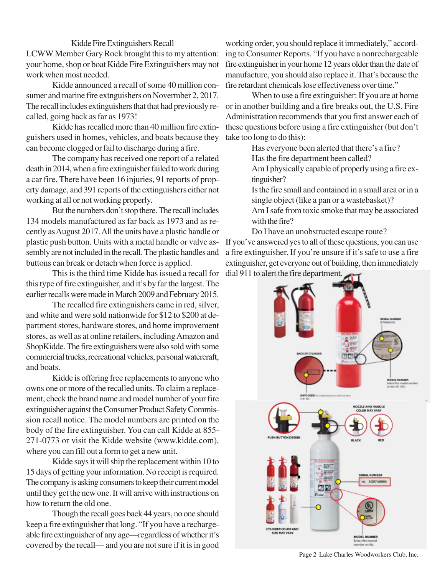#### Kidde Fire Extinguishers Recall

LCWW Member Gary Rock brought this to my attention: your home, shop or boat Kidde Fire Extinguishers may not work when most needed.

Kidde announced a recall of some 40 million consumer and marine fire extnguishers on Novermber 2, 2017. The recall includes extinguishers that that had previously recalled, going back as far as 1973!

Kidde has recalled more than 40 million fire extinguishers used in homes, vehicles, and boats because they can become clogged or fail to discharge during a fire.

The company has received one report of a related death in 2014, when a fire extinguisher failed to work during a car fire. There have been 16 injuries, 91 reports of property damage, and 391 reports of the extinguishers either not working at all or not working properly.

But the numbers don't stop there. The recall includes 134 models manufactured as far back as 1973 and as recently as August 2017. All the units have a plastic handle or plastic push button. Units with a metal handle or valve assembly are not included in the recall. The plastic handles and buttons can break or detach when force is applied.

This is the third time Kidde has issued a recall for dial 911 to alert the fire department.this type of fire extinguisher, and it's by far the largest. The earlier recalls were made in March 2009 and February 2015.

The recalled fire extinguishers came in red, silver, and white and were sold nationwide for \$12 to \$200 at department stores, hardware stores, and home improvement stores, as well as at online retailers, including Amazon and ShopKidde. The fire extinguishers were also sold with some commercial trucks, recreational vehicles, personal watercraft, and boats.

Kidde is offering free replacements to anyone who owns one or more of the recalled units. To claim a replacement, check the brand name and model number of your fire extinguisher against the Consumer Product Safety Commission recall notice. The model numbers are printed on the body of the fire extinguisher. You can call Kidde at 855- 271-0773 or visit the Kidde website (www.kidde.com), where you can fill out a form to get a new unit.

Kidde says it will ship the replacement within 10 to 15 days of getting your information. No receipt is required. The company is asking consumers to keep their current model until they get the new one. It will arrive with instructions on how to return the old one.

Though the recall goes back 44 years, no one should keep a fire extinguisher that long. "If you have a rechargeable fire extinguisher of any age—regardless of whether it's covered by the recall— and you are not sure if it is in good

working order, you should replace it immediately," according to Consumer Reports. "If you have a nonrechargeable fire extinguisher in your home 12 years older than the date of manufacture, you should also replace it. That's because the fire retardant chemicals lose effectiveness over time."

When to use a fire extinguisher: If you are at home or in another building and a fire breaks out, the U.S. Fire Administration recommends that you first answer each of these questions before using a fire extinguisher (but don't take too long to do this):

> Has everyone been alerted that there's a fire? Has the fire department been called?

Am I physically capable of properly using a fire extinguisher?

Is the fire small and contained in a small area or in a single object (like a pan or a wastebasket)?

Am I safe from toxic smoke that may be associated with the fire?

Do I have an unobstructed escape route?

If you've answered yes to all of these questions, you can use a fire extinguisher. If you're unsure if it's safe to use a fire extinguisher, get everyone out of building, then immediately



Page 2 Lake Charles Woodworkers Club, Inc.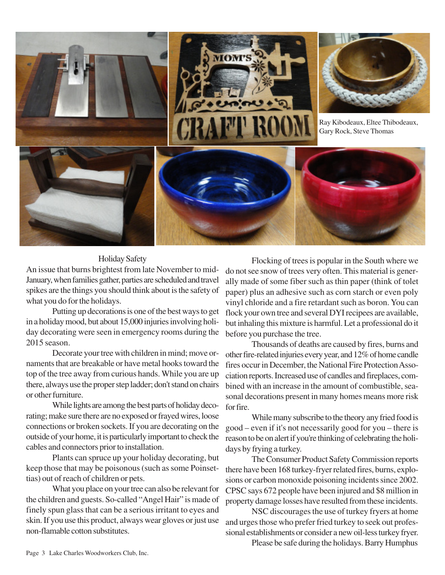

### Holiday Safety

An issue that burns brightest from late November to mid-January, when families gather, parties are scheduled and travel spikes are the things you should think about is the safety of what you do for the holidays.

Putting up decorations is one of the best ways to get in a holiday mood, but about 15,000 injuries involving holiday decorating were seen in emergency rooms during the 2015 season.

Decorate your tree with children in mind; move ornaments that are breakable or have metal hooks toward the top of the tree away from curious hands. While you are up there, always use the proper step ladder; don't stand on chairs or other furniture.

While lights are among the best parts of holiday decorating; make sure there are no exposed or frayed wires, loose connections or broken sockets. If you are decorating on the outside of your home, it is particularly important to check the cables and connectors prior to installation.

Plants can spruce up your holiday decorating, but keep those that may be poisonous (such as some Poinsettias) out of reach of children or pets.

What you place on your tree can also be relevant for the children and guests. So-called "Angel Hair" is made of finely spun glass that can be a serious irritant to eyes and skin. If you use this product, always wear gloves or just use non-flamable cotton substitutes.

Flocking of trees is popular in the South where we do not see snow of trees very often. This material is generally made of some fiber such as thin paper (think of tolet paper) plus an adhesive such as corn starch or even poly vinyl chloride and a fire retardant such as boron. You can flock your own tree and several DYI recipees are available, but inhaling this mixture is harmful. Let a professional do it before you purchase the tree.

Thousands of deaths are caused by fires, burns and other fire-related injuries every year, and 12% of home candle fires occur in December, the National Fire Protection Association reports. Increased use of candles and fireplaces, combined with an increase in the amount of combustible, seasonal decorations present in many homes means more risk for fire.

While many subscribe to the theory any fried food is good – even if it's not necessarily good for you – there is reason to be on alert if you're thinking of celebrating the holidays by frying a turkey.

The Consumer Product Safety Commission reports there have been 168 turkey-fryer related fires, burns, explosions or carbon monoxide poisoning incidents since 2002. CPSC says 672 people have been injured and \$8 million in property damage losses have resulted from these incidents.

NSC discourages the use of turkey fryers at home and urges those who prefer fried turkey to seek out professional establishments or consider a new oil-less turkey fryer.

Please be safe during the holidays. Barry Humphus